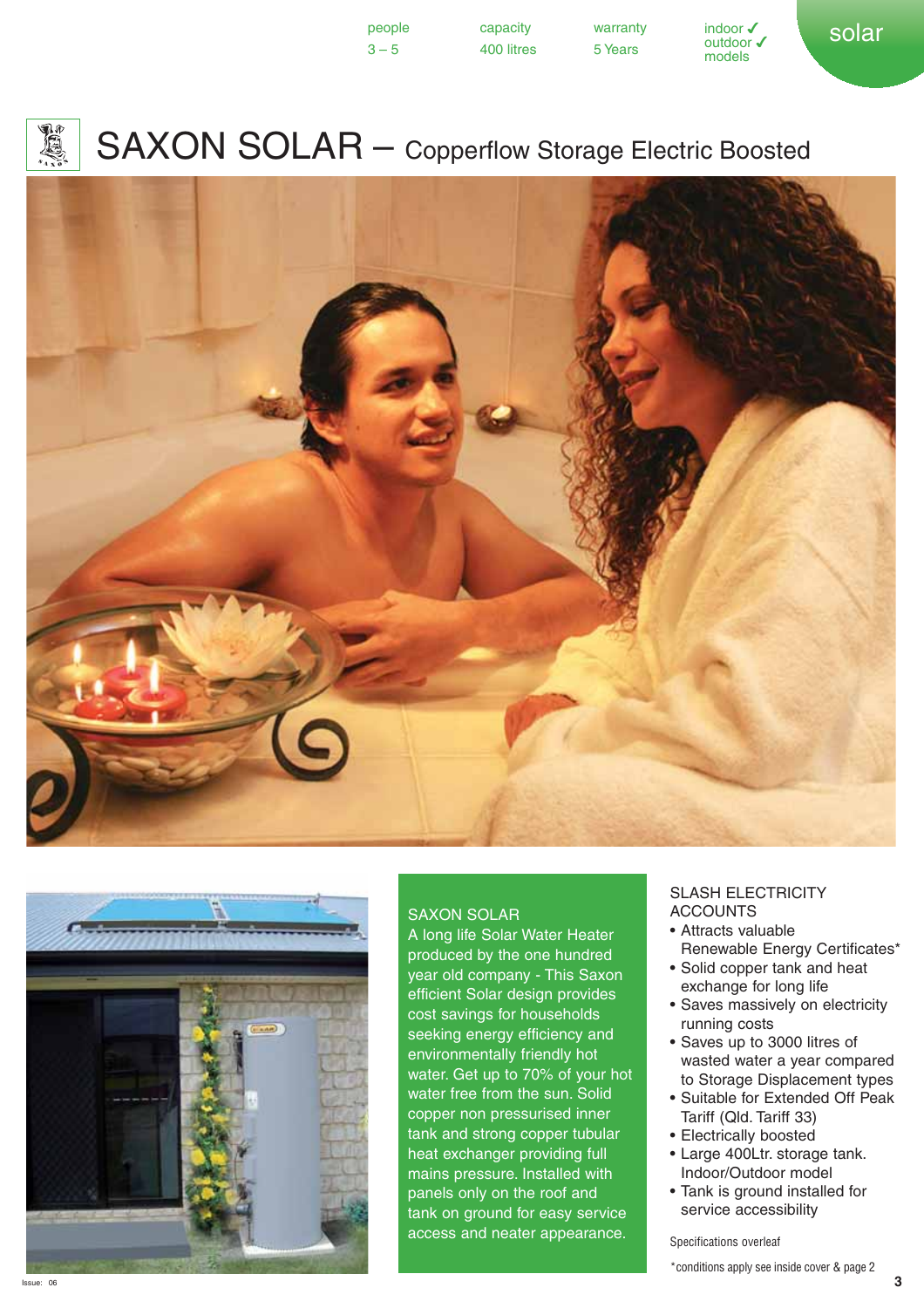people  $3 - 5$ 

capacity 400 litres warranty 5 Years

indoor ✔ outdoor ✔ models

solar

## SAXON SOLAR – Copperflow Storage Electric Boosted





## SAXON SOLAR

A long life Solar Water Heater produced by the one hundred year old company - This Saxon efficient Solar design provides cost savings for households seeking energy efficiency and environmentally friendly hot water. Get up to 70% of your hot water free from the sun. Solid copper non pressurised inner tank and strong copper tubular heat exchanger providing full mains pressure. Installed with panels only on the roof and tank on ground for easy service access and neater appearance.

## SLASH ELECTRICITY **ACCOUNTS**

- Attracts valuable Renewable Energy Certificates\*
- Solid copper tank and heat exchange for long life
- Saves massively on electricity running costs
- Saves up to 3000 litres of wasted water a year compared to Storage Displacement types
- Suitable for Extended Off Peak Tariff (Qld. Tariff 33)
- Electrically boosted
- Large 400Ltr. storage tank. Indoor/Outdoor model
- Tank is ground installed for service accessibility

Specifications overleaf